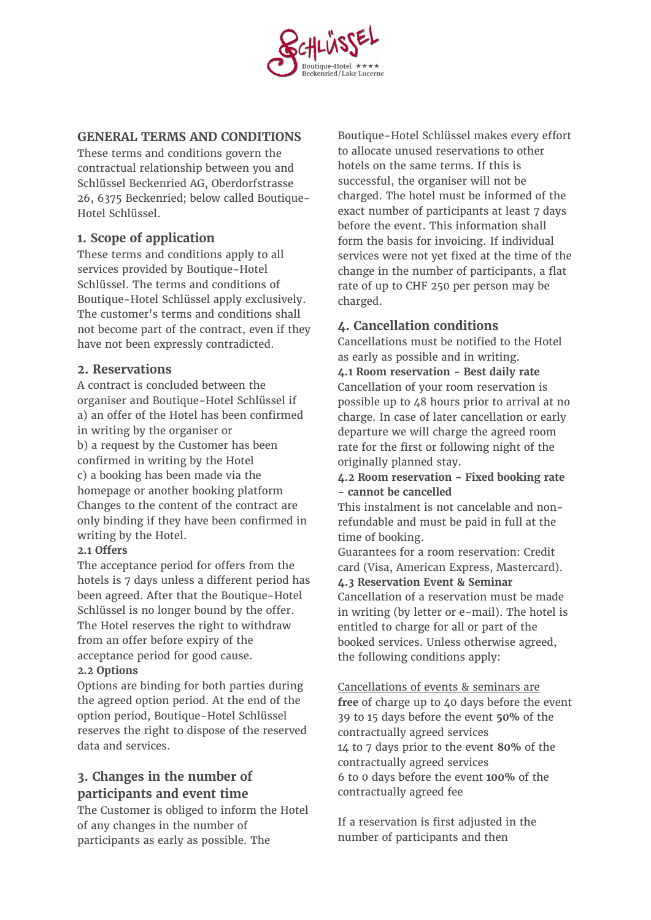

### **GENERAL TERMS AND CONDITIONS**

These terms and conditions govern the contractual relationship between you and Schlüssel Beckenried AG, Oberdorfstrasse 26, 6375 Beckenried; below called Boutique-Hotel Schlüssel.

# **1. Scope of application**

These terms and conditions apply to all services provided by Boutique-Hotel Schlüssel. The terms and conditions of Boutique-Hotel Schlüssel apply exclusively. The customer's terms and conditions shall not become part of the contract, even if they have not been expressly contradicted.

### **2. Reservations**

A contract is concluded between the organiser and Boutique-Hotel Schlüssel if a) an offer of the Hotel has been confirmed in writing by the organiser or b) a request by the Customer has been confirmed in writing by the Hotel c) a booking has been made via the homepage or another booking platform Changes to the content of the contract are only binding if they have been confirmed in writing by the Hotel.

#### **2.1 Offers**

The acceptance period for offers from the hotels is 7 days unless a different period has been agreed. After that the Boutique-Hotel Schlüssel is no longer bound by the offer. The Hotel reserves the right to withdraw from an offer before expiry of the acceptance period for good cause.

### **2.2 Options**

Options are binding for both parties during the agreed option period. At the end of the option period, Boutique-Hotel Schlüssel reserves the right to dispose of the reserved data and services.

# **3. Changes in the number of participants and event time**

The Customer is obliged to inform the Hotel of any changes in the number of participants as early as possible. The

Boutique-Hotel Schlüssel makes every effort to allocate unused reservations to other hotels on the same terms. If this is successful, the organiser will not be charged. The hotel must be informed of the exact number of participants at least 7 days before the event. This information shall form the basis for invoicing. If individual services were not yet fixed at the time of the change in the number of participants, a flat rate of up to CHF 250 per person may be charged.

## **4. Cancellation conditions**

Cancellations must be notified to the Hotel as early as possible and in writing.

**4.1 Room reservation - Best daily rate**  Cancellation of your room reservation is possible up to 48 hours prior to arrival at no charge. In case of later cancellation or early departure we will charge the agreed room rate for the first or following night of the originally planned stay.

**4.2 Room reservation - Fixed booking rate - cannot be cancelled**

This instalment is not cancelable and nonrefundable and must be paid in full at the time of booking.

Guarantees for a room reservation: Credit card (Visa, American Express, Mastercard).

**4.3 Reservation Event & Seminar**  Cancellation of a reservation must be made in writing (by letter or e-mail). The hotel is entitled to charge for all or part of the booked services. Unless otherwise agreed, the following conditions apply:

Cancellations of events & seminars are **free** of charge up to 40 days before the event 39 to 15 days before the event **50%** of the contractually agreed services 14 to 7 days prior to the event **80%** of the contractually agreed services 6 to 0 days before the event **100%** of the contractually agreed fee

If a reservation is first adjusted in the number of participants and then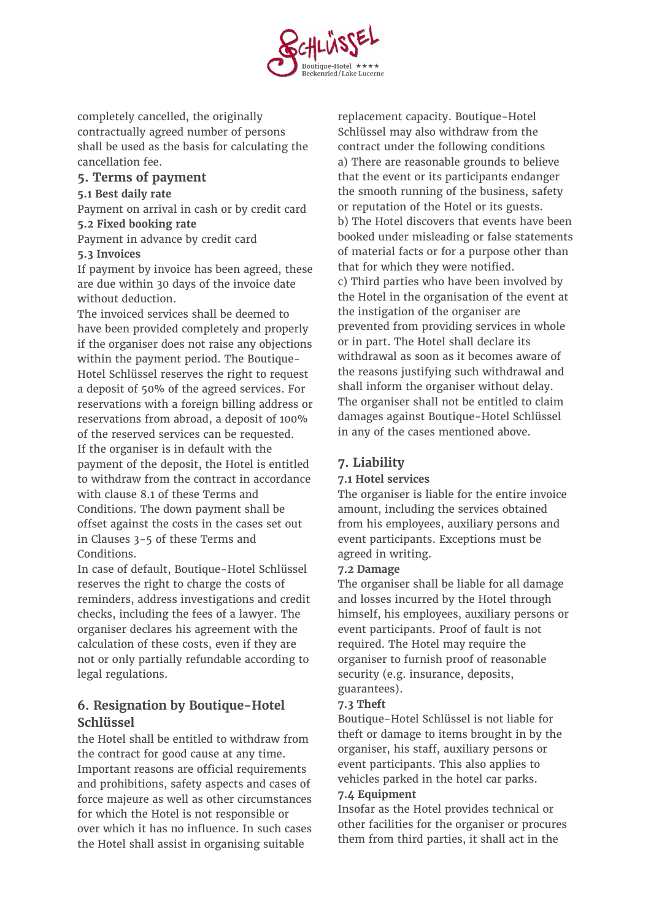

completely cancelled, the originally contractually agreed number of persons shall be used as the basis for calculating the cancellation fee.

## **5. Terms of payment**

### **5.1 Best daily rate**

Payment on arrival in cash or by credit card **5.2 Fixed booking rate**

Payment in advance by credit card

### **5.3 Invoices**

If payment by invoice has been agreed, these are due within 30 days of the invoice date without deduction.

The invoiced services shall be deemed to have been provided completely and properly if the organiser does not raise any objections within the payment period. The Boutique-Hotel Schlüssel reserves the right to request a deposit of 50% of the agreed services. For reservations with a foreign billing address or reservations from abroad, a deposit of 100% of the reserved services can be requested. If the organiser is in default with the payment of the deposit, the Hotel is entitled to withdraw from the contract in accordance with clause 8.1 of these Terms and Conditions. The down payment shall be offset against the costs in the cases set out in Clauses 3-5 of these Terms and Conditions.

In case of default, Boutique-Hotel Schlüssel reserves the right to charge the costs of reminders, address investigations and credit checks, including the fees of a lawyer. The organiser declares his agreement with the calculation of these costs, even if they are not or only partially refundable according to legal regulations.

# **6. Resignation by Boutique-Hotel Schlüssel**

the Hotel shall be entitled to withdraw from the contract for good cause at any time. Important reasons are official requirements and prohibitions, safety aspects and cases of force majeure as well as other circumstances for which the Hotel is not responsible or over which it has no influence. In such cases the Hotel shall assist in organising suitable

replacement capacity. Boutique-Hotel Schlüssel may also withdraw from the contract under the following conditions a) There are reasonable grounds to believe that the event or its participants endanger the smooth running of the business, safety or reputation of the Hotel or its guests. b) The Hotel discovers that events have been booked under misleading or false statements of material facts or for a purpose other than that for which they were notified. c) Third parties who have been involved by the Hotel in the organisation of the event at the instigation of the organiser are prevented from providing services in whole or in part. The Hotel shall declare its withdrawal as soon as it becomes aware of the reasons justifying such withdrawal and shall inform the organiser without delay. The organiser shall not be entitled to claim damages against Boutique-Hotel Schlüssel in any of the cases mentioned above.

# **7. Liability**

### **7.1 Hotel services**

The organiser is liable for the entire invoice amount, including the services obtained from his employees, auxiliary persons and event participants. Exceptions must be agreed in writing.

### **7.2 Damage**

The organiser shall be liable for all damage and losses incurred by the Hotel through himself, his employees, auxiliary persons or event participants. Proof of fault is not required. The Hotel may require the organiser to furnish proof of reasonable security (e.g. insurance, deposits, guarantees).

### **7.3 Theft**

Boutique-Hotel Schlüssel is not liable for theft or damage to items brought in by the organiser, his staff, auxiliary persons or event participants. This also applies to vehicles parked in the hotel car parks.

## **7.4 Equipment**

Insofar as the Hotel provides technical or other facilities for the organiser or procures them from third parties, it shall act in the